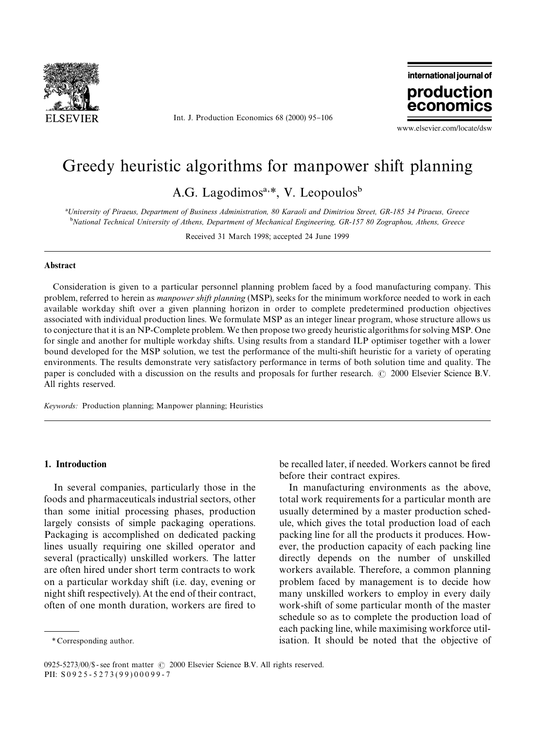

Int. J. Production Economics 68 (2000) 95-106

international journal of production econom

www.elsevier.com/locate/dsw

# Greedy heuristic algorithms for manpower shift planning

A.G. Lagodimos<sup>a,\*</sup>, V. Leopoulos<sup>b</sup>

!*University of Piraeus, Department of Business Administration, 80 Karaoli and Dimitriou Street, GR-185 34 Piraeus, Greece* "*National Technical University of Athens, Department of Mechanical Engineering, GR-157 80 Zographou, Athens, Greece*

Received 31 March 1998; accepted 24 June 1999

#### Abstract

Consideration is given to a particular personnel planning problem faced by a food manufacturing company. This problem, referred to herein as *manpower shift planning* (MSP), seeks for the minimum workforce needed to work in each available workday shift over a given planning horizon in order to complete predetermined production objectives associated with individual production lines. We formulate MSP as an integer linear program, whose structure allows us to conjecture that it is an NP-Complete problem. We then propose two greedy heuristic algorithms for solving MSP. One for single and another for multiple workday shifts. Using results from a standard ILP optimiser together with a lower bound developed for the MSP solution, we test the performance of the multi-shift heuristic for a variety of operating environments. The results demonstrate very satisfactory performance in terms of both solution time and quality. The paper is concluded with a discussion on the results and proposals for further research.  $\odot$  2000 Elsevier Science B.V. All rights reserved.

*Keywords:* Production planning; Manpower planning; Heuristics

### 1. Introduction

In several companies, particularly those in the foods and pharmaceuticals industrial sectors, other than some initial processing phases, production largely consists of simple packaging operations. Packaging is accomplished on dedicated packing lines usually requiring one skilled operator and several (practically) unskilled workers. The latter are often hired under short term contracts to work on a particular workday shift (i.e. day, evening or night shift respectively). At the end of their contract, often of one month duration, workers are fired to be recalled later, if needed. Workers cannot be fired before their contract expires.

In manufacturing environments as the above, total work requirements for a particular month are usually determined by a master production schedule, which gives the total production load of each packing line for all the products it produces. However, the production capacity of each packing line directly depends on the number of unskilled workers available. Therefore, a common planning problem faced by management is to decide how many unskilled workers to employ in every daily work-shift of some particular month of the master schedule so as to complete the production load of each packing line, while maximising workforce utilisation. It should be noted that the objective of

*<sup>\*</sup>* Corresponding author.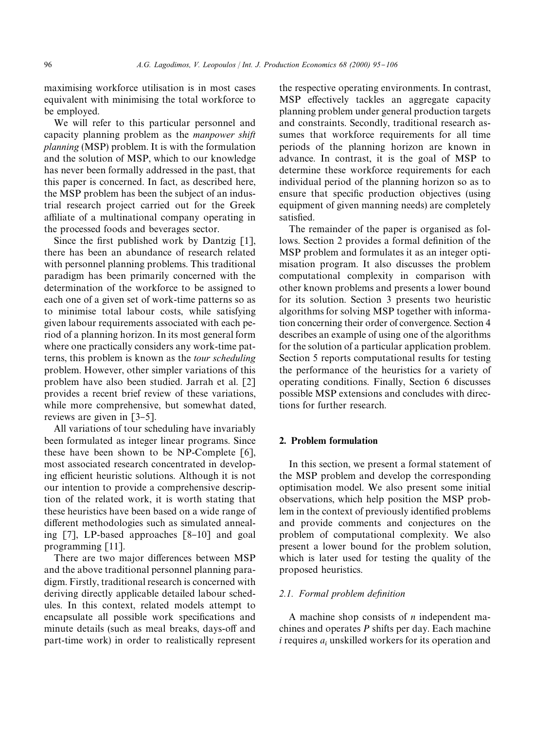maximising workforce utilisation is in most cases equivalent with minimising the total workforce to be employed.

We will refer to this particular personnel and capacity planning problem as the *manpower shift planning* (MSP) problem. It is with the formulation and the solution of MSP, which to our knowledge has never been formally addressed in the past, that this paper is concerned. In fact, as described here, the MSP problem has been the subject of an industrial research project carried out for the Greek affiliate of a multinational company operating in the processed foods and beverages sector.

Since the first published work by Dantzig  $[1]$ , there has been an abundance of research related with personnel planning problems. This traditional paradigm has been primarily concerned with the determination of the workforce to be assigned to each one of a given set of work-time patterns so as to minimise total labour costs, while satisfying given labour requirements associated with each period of a planning horizon. In its most general form where one practically considers any work-time patterns, this problem is known as the *tour scheduling* problem. However, other simpler variations of this problem have also been studied. Jarrah et al. [2] provides a recent brief review of these variations, while more comprehensive, but somewhat dated, reviews are given in  $\lceil 3-5 \rceil$ .

All variations of tour scheduling have invariably been formulated as integer linear programs. Since these have been shown to be NP-Complete [6], most associated research concentrated in developing efficient heuristic solutions. Although it is not our intention to provide a comprehensive description of the related work, it is worth stating that these heuristics have been based on a wide range of different methodologies such as simulated annealing  $[7]$ , LP-based approaches  $[8-10]$  and goal programming [11].

There are two major differences between MSP and the above traditional personnel planning paradigm. Firstly, traditional research is concerned with deriving directly applicable detailed labour schedules. In this context, related models attempt to encapsulate all possible work specifications and minute details (such as meal breaks, days-off and part-time work) in order to realistically represent

the respective operating environments. In contrast, MSP effectively tackles an aggregate capacity planning problem under general production targets and constraints. Secondly, traditional research assumes that workforce requirements for all time periods of the planning horizon are known in advance. In contrast, it is the goal of MSP to determine these workforce requirements for each individual period of the planning horizon so as to ensure that specific production objectives (using equipment of given manning needs) are completely satisfied.

The remainder of the paper is organised as follows. Section 2 provides a formal definition of the MSP problem and formulates it as an integer optimisation program. It also discusses the problem computational complexity in comparison with other known problems and presents a lower bound for its solution. Section 3 presents two heuristic algorithms for solving MSP together with information concerning their order of convergence. Section 4 describes an example of using one of the algorithms for the solution of a particular application problem. Section 5 reports computational results for testing the performance of the heuristics for a variety of operating conditions. Finally, Section 6 discusses possible MSP extensions and concludes with directions for further research.

# 2. Problem formulation

In this section, we present a formal statement of the MSP problem and develop the corresponding optimisation model. We also present some initial observations, which help position the MSP problem in the context of previously identified problems and provide comments and conjectures on the problem of computational complexity. We also present a lower bound for the problem solution, which is later used for testing the quality of the proposed heuristics.

## 2.1. Formal problem definition

A machine shop consists of *n* independent machines and operates *P* shifts per day. Each machine  $i$  requires  $a_i$  unskilled workers for its operation and